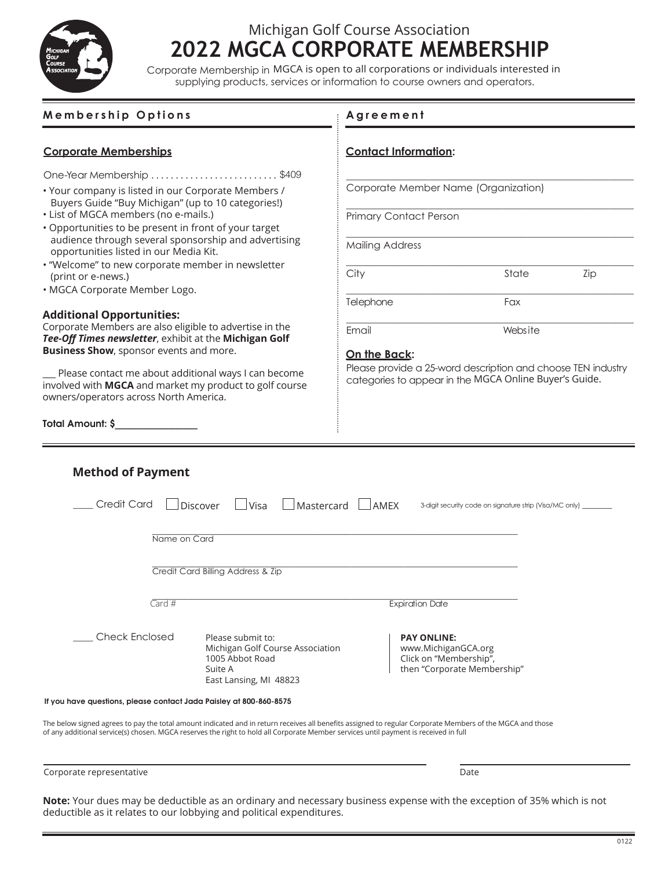

## **2022 MGCA CORPORATE MEMBERSHIP** Michigan Golf Course Association **2022 MGCA CORPORATE MEMBERSHIP**

Corporate Membership in MGCA is open to all corporations or individuals interested in supplying products, services or information to course owners and operators.

| <b>Membership Options</b>                                                                                                                                                                                                       | Agreement                                                                                          |  |
|---------------------------------------------------------------------------------------------------------------------------------------------------------------------------------------------------------------------------------|----------------------------------------------------------------------------------------------------|--|
| <b>Corporate Memberships</b>                                                                                                                                                                                                    | <b>Contact Information:</b>                                                                        |  |
| One-Year Membership \$409                                                                                                                                                                                                       |                                                                                                    |  |
| • Your company is listed in our Corporate Members /<br>Buyers Guide "Buy Michigan" (up to 10 categories!)<br>· List of MGCA members (no e-mails.)                                                                               | Corporate Member Name (Organization)                                                               |  |
| • Opportunities to be present in front of your target<br>audience through several sponsorship and advertising                                                                                                                   | <b>Primary Contact Person</b><br><b>Mailing Address</b>                                            |  |
| opportunities listed in our Media Kit.<br>• "Welcome" to new corporate member in newsletter                                                                                                                                     |                                                                                                    |  |
| (print or e-news.)<br>· MGCA Corporate Member Logo.                                                                                                                                                                             | City<br>State<br>Zip                                                                               |  |
|                                                                                                                                                                                                                                 | Telephone<br>Fax                                                                                   |  |
| <b>Additional Opportunities:</b><br>Corporate Members are also eligible to advertise in the                                                                                                                                     | Email<br>Website                                                                                   |  |
| Tee-Off Times newsletter, exhibit at the Michigan Golf<br><b>Business Show</b> , sponsor events and more.                                                                                                                       | On the Back:                                                                                       |  |
| Please contact me about additional ways I can become                                                                                                                                                                            | Please provide a 25-word description and choose TEN industry                                       |  |
| involved with MGCA and market my product to golf course<br>owners/operators across North America.                                                                                                                               | categories to appear in the MGCA Online Buyer's Guide.                                             |  |
|                                                                                                                                                                                                                                 |                                                                                                    |  |
|                                                                                                                                                                                                                                 |                                                                                                    |  |
| <b>Method of Payment</b><br><b>Credit Card</b><br>Discover<br>$\Box$ Visa                                                                                                                                                       | $\Box$ Mastercard<br><b>AMEX</b><br>3-digit security code on signature strip (Visa/MC only) _      |  |
| Name on Card                                                                                                                                                                                                                    |                                                                                                    |  |
|                                                                                                                                                                                                                                 |                                                                                                    |  |
| Credit Card Billing Address & Zip                                                                                                                                                                                               |                                                                                                    |  |
| Total Amount: \$<br>Card #                                                                                                                                                                                                      | <b>Expiration Date</b>                                                                             |  |
| <b>Check Enclosed</b><br>Please submit to:<br>Michigan Golf Course Association<br>1005 Abbot Road<br>Suite A<br>East Lansing, MI 48823                                                                                          | <b>PAY ONLINE:</b><br>www.MichiganGCA.org<br>Click on "Membership",<br>then "Corporate Membership" |  |
|                                                                                                                                                                                                                                 |                                                                                                    |  |
| If you have questions, please contact Jada Paisley at 800-860-8575<br>The below signed agrees to pay the total amount indicated and in return receives all benefits assigned to regular Corporate Members of the MGCA and those |                                                                                                    |  |

Accepted by: Corporate representative Date

Note: Your dues may be deductible as an ordinary and necessary business expense with the exception of 35% which is not NGCC Team dues may be deductible as an ordinary and necessary basiness expense with the exe.<br>deductible as it relates to our lobbying and political expenditures.